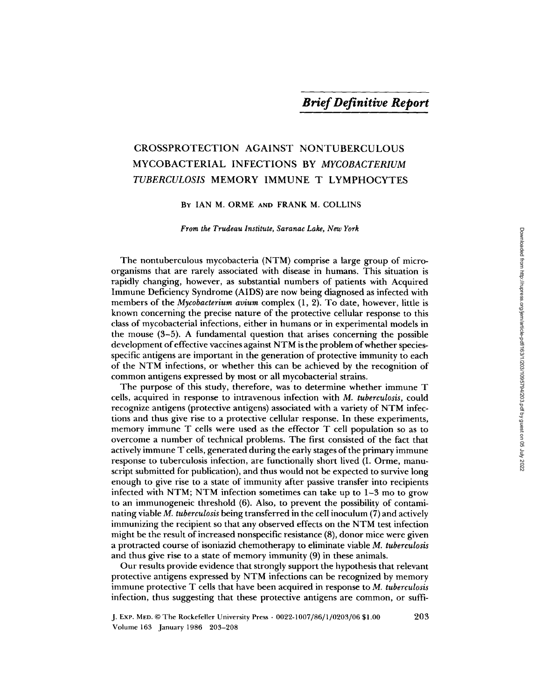# CROSSPROTECTION AGAINST NONTUBERCULOUS MYCOBACTERIAL INFECTIONS BY *MYCOBACTERIUM TUBERCULOSIS* MEMORY IMMUNE T LYMPHOCYTES

# BY IAN M. ORME AND FRANK M. COLLINS

*From the Trudeau Institute, Saranac Lake, New York* 

The nontuberculous mycobacteria (NTM) comprise a large group of microorganisms that are rarely associated with disease in humans. This situation is rapidly changing, however, as substantial numbers of patients with Acquired Immune Deficiency Syndrome (AIDS) are now being diagnosed as infected with members of the *Mycobacterium avium* complex (1, 2). To date, however, little is known concerning the precise nature of the protective cellular response to this class of mycobacterial infections, either in humans or in experimental models in the mouse (3-5). A fundamental question that arises concerning the possible development of effective vaccines against NTM is the problem of whether speciesspecific antigens are important in the generation of protective immunity to each of the NTM infections, or whether this can be achieved by the recognition of common antigens expressed by most or all mycobacterial strains.

The purpose of this study, therefore, was to determine whether immune T cells, acquired in response to intravenous infection with *M. tuberculosis,* could recognize antigens (protective antigens) associated with a variety of NTM infections and thus give rise to a protective cellular response. In these experiments, memory immune T cells were used as the effector T cell population so as to overcome a number of technical problems. The first consisted of the fact that actively immune T cells, generated during the early stages of the primary immune response to tuberculosis infection, are functionally short lived (I. Orme, manuscript submitted for publication), and thus would not be expected to survive long enough to give rise to a state of immunity after passive transfer into recipients infected with NTM; NTM infection sometimes can take up to  $1-3$  mo to grow to an immunogeneic threshold (6). Also, to prevent the possibility of contaminating viable *M. tuberculosis* being transferred in the cell inoculum (7) and actively immunizing the recipient so that any observed effects on the NTM test infection might be the result of increased nonspecific resistance (8), donor mice were given a protracted course of isoniazid chemotherapy to eliminate viable *M. tuberculosis*  and thus give rise to a state of memory immunity (9) in these animals.

Our results provide evidence that strongly support the hypothesis that relevant protective antigens expressed by NTM infections can be recognized by memory immune protective T cells that have been acquired in response to *M. tuberculosis*  infection, thus suggesting that these protective antigens are common, or suffi-

203

J. ExP. MEO. © The Rockefeller University Press • *0022-1007/86[1/0203]06* \$1.00 Volume 163 January 1986 203-208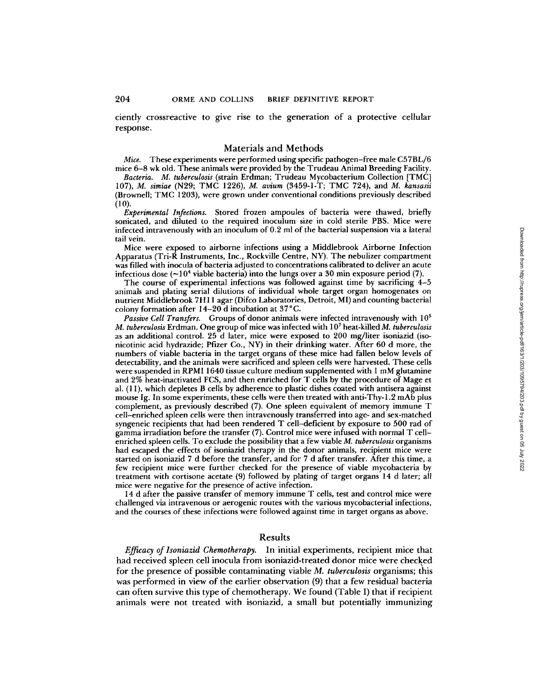ciently crossreactive to give rise to the generation of a protective cellular response.

## Materials and Methods

*Mice.* These experiments were performed using specific pathogen-free male C57BL/6 mice 6-8 wk old. These animals were provided by the Trudeau Animal Breeding Facility.

*Bacteria. M. tuberculosis* (strain Erdman; Trudeau Mycobacterium Collection [TMC] 107), *M. simiae* (N29; TMC 1226), *M. avium* (3459-1-T; TMC 724), and *M. kansasii*  (Brownell; TMC 1203), were grown under conventional conditions previously described (10).

*Experimental Infections.* Stored frozen ampoules of bacteria were thawed, briefly sonicated, and diluted to the required inoculum size in cold sterile PBS. Mice were infected intravenously with an inoculum of *0.2* ml of the bacterial suspension via a lateral tail vein.

Mice were exposed to airborne infections using a Middlebrook Airborne Infection Apparatus (Tri-R Instruments, Inc., Rockville Centre, NY). The nebulizer compartment was filled with inocula of bacteria adjusted to concentrations calibrated to deliver an acute infectious dose  $(\sim 10^4$  viable bacteria) into the lungs over a 30 min exposure period (7).

The course of experimental infections was followed against time by sacrificing 4-5 animals and plating serial dilutions of individual whole target organ homogenates on nutrient Middlebrook 7H 11 agar (Difco Laboratories, Detroit, MI) and counting bacterial colony formation after *14-20* d incubation at 37°C.

*Passive Cell Transfers.* Groups of donor animals were infected intravenously with 10<sup>5</sup> *M. tuberculosis* Erdman. One group of mice was infected with 107 heat-killed *M. tuberculosis*  as an additional control. 25 d later, mice were exposed to 200 mg/liter isoniazid (isonicotinic acid hydrazide; Pfizer Co., NY) in their drinking water. After 60 d more, the numbers of viable bacteria in the target organs of these mice had fallen below levels of detectability, and the animals were sacrificed and spleen cells were harvested. These cells were suspended in RPMI 1640 tissue culture medium supplemented with 1 mM glutamine and 2% heat-inactivated FCS, and then enriched for T cells by the procedure of Mage et al. (1 I), which depletes B cells by adherence to plastic dishes coated with antisera against mouse Ig. In some experiments, these cells were then treated with anti-Thy-l.2 mAb plus complement, as previously described (7). One spleen equivalent of memory immune T cell-enriched spleen cells were then intravenously transferred into age- and sex-matched syngeneic recipients that had been rendered T ceil-deficient by exposure to 500 rad of gamma irradiation before the transfer (7). Control mice were infused with normal T cellenriched spleen cells. To exclude the possibility that a few viable *M. tuberculosis* organisms had escaped the effects of isoniazid therapy in the donor animals, recipient mice were started on isoniazid 7 d before the transfer, and for 7 d after transfer. After this time, a few recipient mice were further checked for the presence of viable mycobacteria by treatment with cortisone acetate (9) followed by plating of target organs 14 d later; all mice were negative for the presence of active infection.

14 d after the passive transfer of memory immune T cells, test and control mice were challenged via intravenous or aerogenic routes with the various mycobacterial infections, and the courses of these infections were followed against time in target organs as above.

#### Results

*Efficacy of Isoniazid Chemotherapy.* In initial experiments, recipient mice that had received spleen cell inocula from isoniazid-treated donor mice were checked for the presence of possible contaminating viable *M. tuberculosis* organisms; this was performed in view of the earlier observation (9) that a few residual bacteria can often survive this type of chemotherapy. We found (Table I) that if recipient animals were not treated with isoniazid, a small but potentially immunizing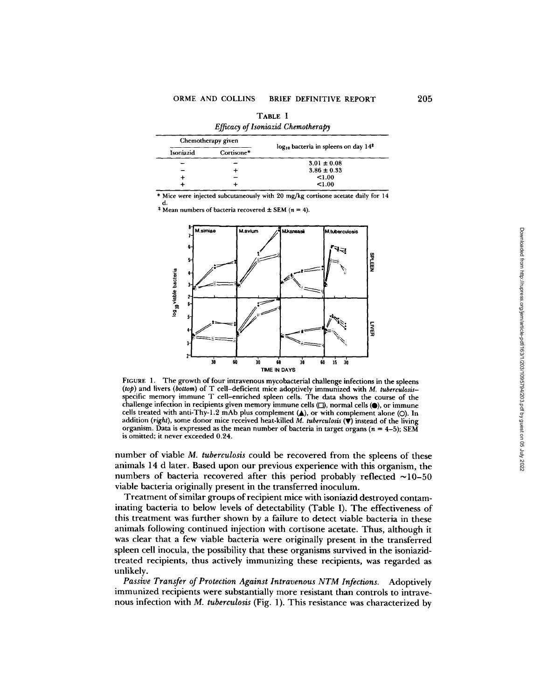| Chemotherapy given |            | $log_{10}$ bacteria in spleens on day $14‡$ |
|--------------------|------------|---------------------------------------------|
| Isoniazid          | Cortisone* |                                             |
|                    |            | $3.01 \pm 0.08$                             |
|                    |            | $3.86 \pm 0.33$                             |
|                    |            | < 1.00                                      |
|                    |            | < 1.00                                      |

TABLE I Efficient of Loopenid Chamathought

\* Mice were injected subcutaneously with 20 mg/kg cortisone acetate daily for 14

<sup>‡</sup> Mean numbers of bacteria recovered  $\pm$  SEM ( $n = 4$ ).



FIGURE 1. The growth of four intravenous mycobacterial challenge infections in the spleens (top) and livers (bottom) of T cell-deficient mice adoptively immunized with M. tuberculosisspecific memory immune T cell-enriched spleen cells. The data shows the course of the challenge infection in recipients given memory immune cells  $(2)$ , normal cells  $(4)$ , or immune cells treated with anti-Thy-1.2 mAb plus complement (A), or with complement alone (O). In addition (right), some donor mice received heat-killed  $\overline{M}$ . tuberculosis ( $\overline{\mathbf{v}}$ ) instead of the living organism. Data is expressed as the mean number of bacteria in target organs ( $n = 4-5$ ); SEM is omitted; it never exceeded 0.24.

number of viable M. tuberculosis could be recovered from the spleens of these animals 14 d later. Based upon our previous experience with this organism, the numbers of bacteria recovered after this period probably reflected  $\sim$ 10-50 viable bacteria originally present in the transferred inoculum.

Treatment of similar groups of recipient mice with isoniazid destroyed contaminating bacteria to below levels of detectability (Table I). The effectiveness of this treatment was further shown by a failure to detect viable bacteria in these animals following continued injection with cortisone acetate. Thus, although it was clear that a few viable bacteria were originally present in the transferred spleen cell inocula, the possibility that these organisms survived in the isoniazidtreated recipients, thus actively immunizing these recipients, was regarded as unlikely.

Passive Transfer of Protection Against Intravenous NTM Infections. Adoptively immunized recipients were substantially more resistant than controls to intravenous infection with M. tuberculosis (Fig. 1). This resistance was characterized by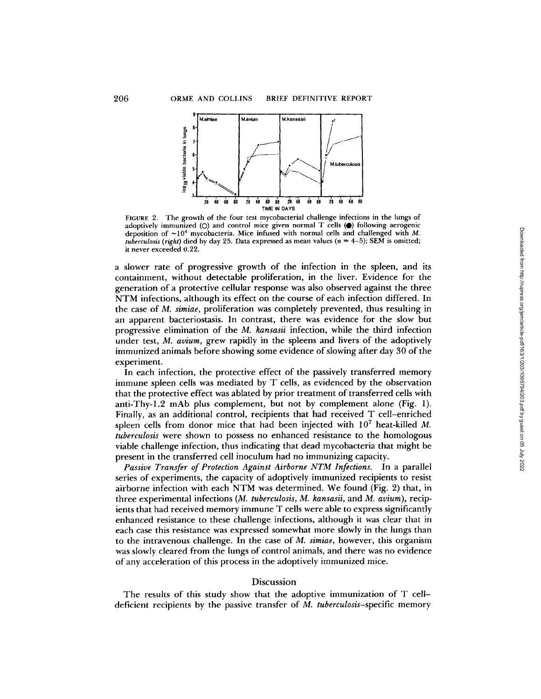

FIGURE 2. The growth of the four test mycobacterial challenge infections in the lungs of adoptively immunized  $(O)$  and control mice given normal T cells  $\bullet$  following aerogenic deposition of  $\sim 10^4$  mycobacteria. Mice infused with normal cells and challenged with M. *tuberculosis (right)* died by day 25. Data expressed as mean values ( $n = 4-5$ ); SEM is omitted; it never exceeded 0.22.

a slower rate of progressive growth of the infection in the spleen, and its containment, without detectable proliferation, in the liver. Evidence for the generation of a protective cellular response was also observed against the three NTM infections, although its effect on the course of each infection differed. In the case of *M. simiae,* proliferation was completely prevented, thus resulting in an apparent bacteriostasis. In contrast, there was evidence for the slow but progressive elimination of the *M. kansasii* infection, while the third infection under test, *M. avium,* grew rapidly in the spleens and livers of the adoptively immunized animals before showing some evidence of slowing after day 30 of the experiment.

In each infection, the protective effect of the passively transferred memory immune spleen ceils was mediated by T cells, as evidenced by the observation that the protective effect was ablated by prior treatment of transferred cells with anti-Thy-l.2 mAb plus complement, but not by complement alone (Fig. 1). Finally, as an additional control, recipients that had received T cell-enriched spleen cells from donor mice that had been injected with  $10<sup>7</sup>$  heat-killed M. *tuberculosis* were shown to possess no enhanced resistance to the homologous viable challenge infection, thus indicating that dead mycobacteria that might be present in the transferred cell inoculum had no immunizing capacity.

*Passive Transfer of Protection Against Airborne NTM Infections.* In a parallel series of experiments, the capacity of adoptively immunized recipients to resist airborne infection with each NTM was determined. We found (Fig. 2) that, in three experimental infections *(M. tuberculosis, M. kansasii,* and *M. avium),* recipients that had received memory immune T cells were able to express significantly enhanced resistance to these challenge infections, although it was clear that in each case this resistance was expressed somewhat more slowly in the lungs than to the intravenous challenge. In the case of *M. simiae,* however, this organism was slowly cleared from the lungs of control animals, and there was no evidence of any acceleration of this process in the adoptively immunized mice.

### Discussion

The results of this study show that the adoptive immunization of T celldeficient recipients by the passive transfer of *M. tuberculosis-specific* memory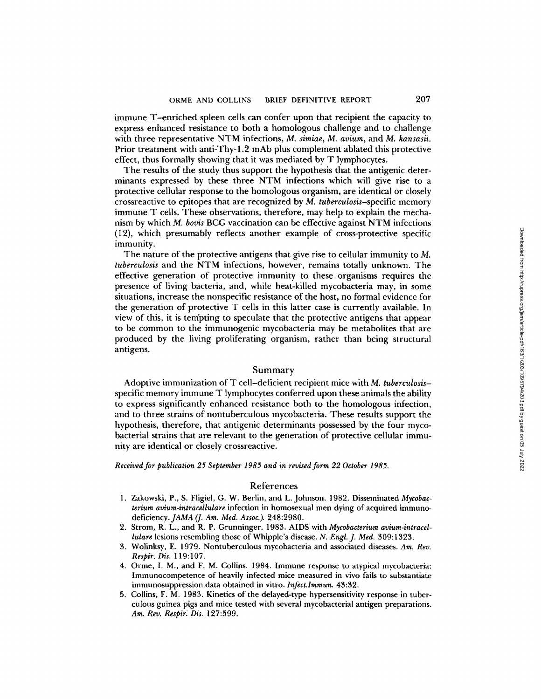immune T-enriched spleen cells can confer upon that recipient the capacity to express enhanced resistance to both a homologous challenge and to challenge with three representative NTM infections, *M. simiae, M. avium,* and *M. kansasii.*  Prior treatment with anti-Thy-l.2 mAb plus complement ablated this protective effect, thus formally showing that it was mediated by T lymphocytes.

The results of the study thus support the hypothesis that the antigenic determinants expressed by these three NTM infections which will give rise to a protective cellular response to the homologous organism, are identical or closely crossreactive to epitopes that are recognized by *M. tuberculosis-specific* memory immune T cells. These observations, therefore, may help to explain the mechanism by which *M. boris* BCG vaccination can be effective against NTM infections (12), which presumably reflects another example of cross-protective specific immunity.

The nature of the protective antigens that give rise to cellular immunity to M. *tuberculosis* and the NTM infections, however, remains totally unknown. The effective generation of protective immunity to these organisms requires the presence of living bacteria, and, while heat-killed mycobacteria may, in some situations, increase the nonspecific resistance of the host, no formal evidence for the generation of protective T cells in this latter case is currently available. In view of this, it is tempting to speculate that the protective antigens that appear to be common to the immunogenic mycobacteria may be metabolites that are produced by the living proliferating organism, rather than being structural antigens.

#### Summary

Adoptive immunization of T cell-deficient recipient mice with *M. tuberculosis*specific memory immune T lymphocytes conferred upon these animals the ability to express significantly enhanced resistance both to the homologous infection, and to three strains of nontuberculous mycobacteria. These results support the hypothesis, therefore, that antigenic determinants possessed by the four mycobacterial strains that are relevant to the generation of protective cellular immunity are identical or closely crossreactive.

*Received for publication 25 September 1985 and in revised form 22 October 1985.* 

## References

- 1. Zakowski, P., S. Fligiel, G. W. Berlin, and L. Johnson. 1982. Disseminated *Mycobacterium avium-intracellulare* infection in homosexual men dying of acquired immuno*deficiency.JAMA (]. Am. Med. Assoc.).* 248:2980.
- 2. Strom, R. L., and R. P. Grunninger. 1983. AIDS with *Mycobacterium avium-intracellulare* lesions resembling those of Whipple's disease. *N. Engl. J. Med.* 309:1323.
- 3. Wolinksy, E. 1979. Nontuberculous mycobacteria and associated diseases. *Am. Rev. Respir. Dis.* 119:107.
- 4. Orme, I. M., and F. M. Collins. 1984. Immune response to atypical mycobacteria: Immunocompetence of heavily infected mice measured in vivo fails to substantiate immunosuppression data obtained in vitro. *Infect.Immun.* 43:32.
- 5. Collins, F. M. 1983. Kinetics of the delayed-type hypersensitivity response in tuberculous guinea pigs and mice tested with several mycobacterial antigen preparations. *Am. Rev. Respir~ Dis.* 127:599.